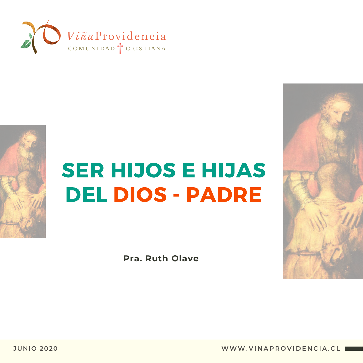



# SER HIJOS E HIJAS DEL DIOS - PADRE

**Pra. Ruth Olave**



**I WWW.VINAPROVIDENCIA.CL**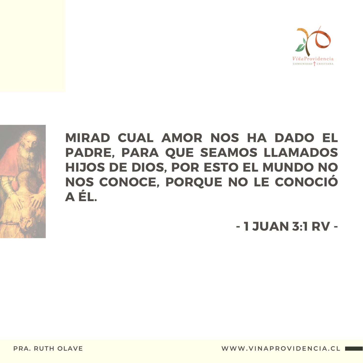



### MIRAD CUAL AMOR NOS HA DADO EL PADRE, PARA QUE SEAMOS LLAMADOS HIJOS DE DIOS, POR ESTO EL MUNDO NO NOS CONOCE, PORQUE NO LE CONOCIÓ A ÉL.

- 1 JUAN 3:1 RV -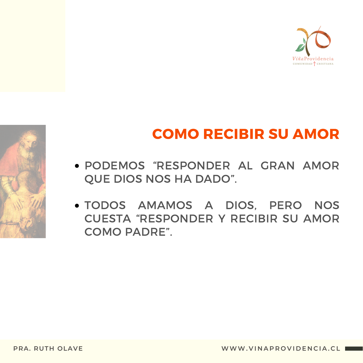



### COMO RECIBIR SU AMOR

- PODEMOS "RESPONDER AL GRAN AMOR QUE DIOS NOS HA DADO".
- TODOS AMAMOS A DIOS, PERO NOS CUESTA "RESPONDER Y RECIBIR SU AMOR COMO PADRE".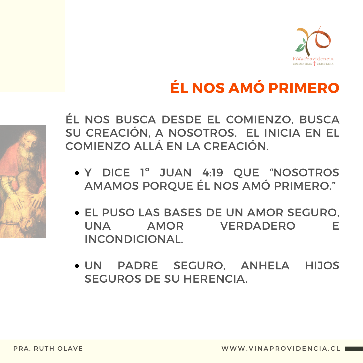

## ÉL NOS AMÓ PRIMERO



- Y DICE 1° JUAN 4:19 QUE "NOSOTROS AMAMOS PORQUE ÉL NOS AMÓ PRIMERO."
- **. EL PUSO LAS BASES DE UN AMOR SEGURO.** UNA AMOR VERDADERO F **INCONDICIONAL.**
- · UN PADRE SEGURO, ANHELA HIJOS **SEGUROS DE SU HERENCIA.**

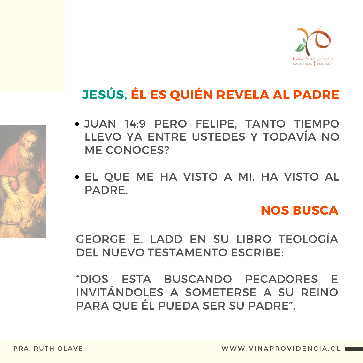

### **JESÚS, ÉL ES QUIÉN REVELA AL PADRE**

- · JUAN 14:9 PERO FELIPE, TANTO TIEMPO LLEVO YA ENTRE USTEDES Y TODAVÍA NO **ME CONOCES?**
- EL QUE ME HA VISTO A MI, HA VISTO AL PADRE.

#### **NOS BUSCA**

GEORGE E. LADD EN SU LIBRO TEOLOGÍA **DEL NUEVO TESTAMENTO ESCRIBE:** 

"DIOS ESTA BUSCANDO PECADORES E INVITÁNDOLES A SOMETERSE A SU REINO PARA QUE ÉL PUEDA SER SU PADRE".

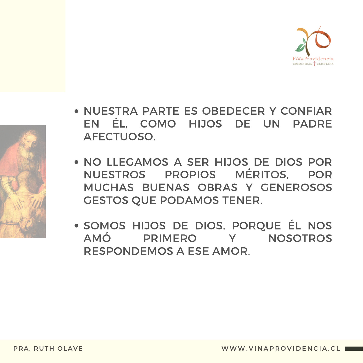



- NUESTRA PARTE ES OBEDECER Y CONFIAR EN ÉL, COMO HIJOS DE UN PADRE AFECTUOSO.
- NO LLEGAMOS A SER HIJOS DE DIOS POR NUESTROS PROPIOS MÉRITOS, POR MUCHAS BUENAS OBRAS Y GENEROSOS GESTOS QUE PODAMOS TENER.
- SOMOS HIJOS DE DIOS, PORQUE ÉL NOS AMÓ PRIMERO Y NOSOTROS RESPONDEMOS A ESE AMOR.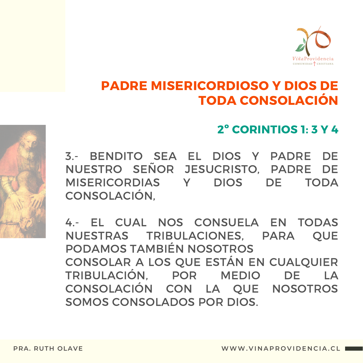

#### PADRE MISERICORDIOSO Y DIOS DE TODA CONSOLACIÓN

#### 2º CORINTIOS 1: 3 Y 4

3.- BENDITO SEA EL DIOS Y PADRE DE NUESTRO SEÑOR JESUCRISTO, PADRE DE MISERICORDIAS Y DIOS DE TODA CONSOLACIÓN,

4.- EL CUAL NOS CONSUELA EN TODAS NUESTRAS TRIBULACIONES, PARA QUE PODAMOS TAMBIÉN NOSOTROS CONSOLAR A LOS QUE ESTÁN EN CUALQUIER TRIBULACIÓN, POR MEDIO DE LA CONSOLACIÓN CON LA QUE NOSOTROS SOMOS CONSOLADOS POR DIOS.